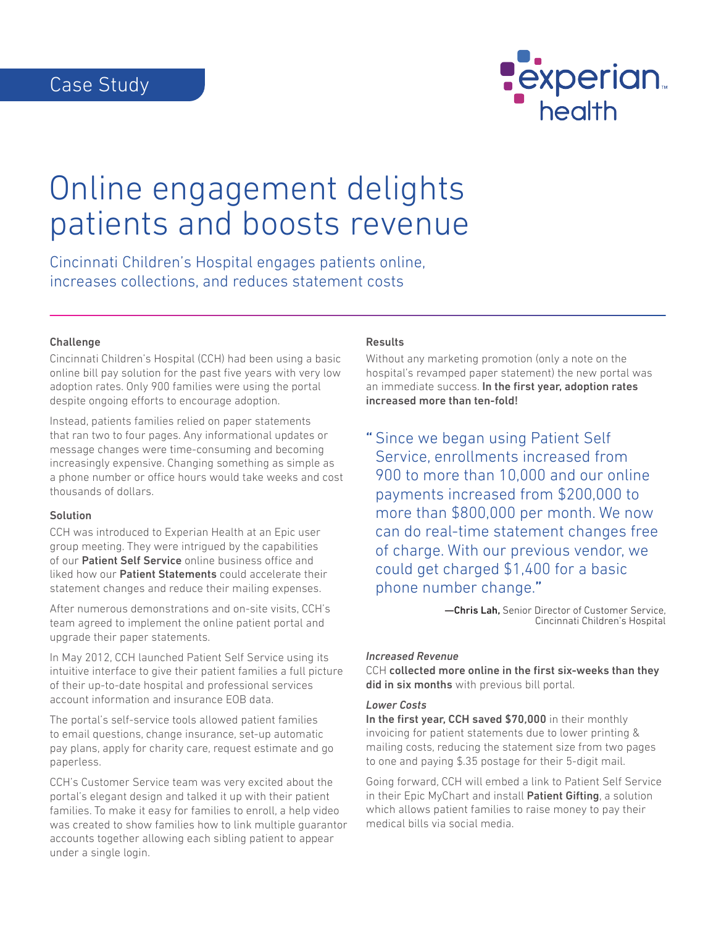

# Online engagement delights patients and boosts revenue

Cincinnati Children's Hospital engages patients online, increases collections, and reduces statement costs

#### Challenge

Cincinnati Children's Hospital (CCH) had been using a basic online bill pay solution for the past five years with very low adoption rates. Only 900 families were using the portal despite ongoing efforts to encourage adoption.

Instead, patients families relied on paper statements that ran two to four pages. Any informational updates or message changes were time-consuming and becoming increasingly expensive. Changing something as simple as a phone number or office hours would take weeks and cost thousands of dollars.

#### Solution

CCH was introduced to Experian Health at an Epic user group meeting. They were intrigued by the capabilities of our Patient Self Service online business office and liked how our Patient Statements could accelerate their statement changes and reduce their mailing expenses.

After numerous demonstrations and on-site visits, CCH's team agreed to implement the online patient portal and upgrade their paper statements.

In May 2012, CCH launched Patient Self Service using its intuitive interface to give their patient families a full picture of their up-to-date hospital and professional services account information and insurance EOB data.

The portal's self-service tools allowed patient families to email questions, change insurance, set-up automatic pay plans, apply for charity care, request estimate and go paperless.

CCH's Customer Service team was very excited about the portal's elegant design and talked it up with their patient families. To make it easy for families to enroll, a help video was created to show families how to link multiple guarantor accounts together allowing each sibling patient to appear under a single login.

## Results

Without any marketing promotion (only a note on the hospital's revamped paper statement) the new portal was an immediate success. In the first year, adoption rates increased more than ten-fold!

" Since we began using Patient Self Service, enrollments increased from 900 to more than 10,000 and our online payments increased from \$200,000 to more than \$800,000 per month. We now can do real-time statement changes free of charge. With our previous vendor, we could get charged \$1,400 for a basic phone number change."

> —Chris Lah, Senior Director of Customer Service, Cincinnati Children's Hospital

#### *Increased Revenue*

CCH collected more online in the first six-weeks than they did in six months with previous bill portal.

#### *Lower Costs*

In the first year, CCH saved \$70,000 in their monthly invoicing for patient statements due to lower printing & mailing costs, reducing the statement size from two pages to one and paying \$.35 postage for their 5-digit mail.

Going forward, CCH will embed a link to Patient Self Service in their Epic MyChart and install **Patient Gifting**, a solution which allows patient families to raise money to pay their medical bills via social media.